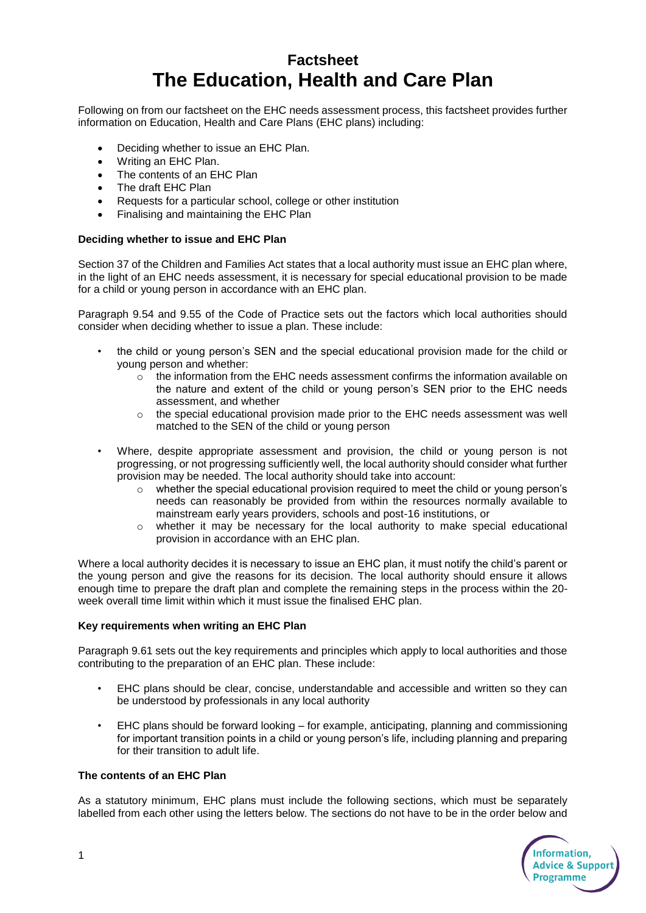# **Factsheet The Education, Health and Care Plan**

Following on from our factsheet on the EHC needs assessment process, this factsheet provides further information on Education, Health and Care Plans (EHC plans) including:

- Deciding whether to issue an EHC Plan.
- Writing an EHC Plan.
- The contents of an EHC Plan
- The draft EHC Plan
- Requests for a particular school, college or other institution
- Finalising and maintaining the EHC Plan

### **Deciding whether to issue and EHC Plan**

Section 37 of the Children and Families Act states that a local authority must issue an EHC plan where, in the light of an EHC needs assessment, it is necessary for special educational provision to be made for a child or young person in accordance with an EHC plan.

Paragraph 9.54 and 9.55 of the Code of Practice sets out the factors which local authorities should consider when deciding whether to issue a plan. These include:

- the child or young person's SEN and the special educational provision made for the child or young person and whether:
	- $\circ$  the information from the EHC needs assessment confirms the information available on the nature and extent of the child or young person's SEN prior to the EHC needs assessment, and whether
	- $\circ$  the special educational provision made prior to the EHC needs assessment was well matched to the SEN of the child or young person
- Where, despite appropriate assessment and provision, the child or young person is not progressing, or not progressing sufficiently well, the local authority should consider what further provision may be needed. The local authority should take into account:
	- $\circ$  whether the special educational provision required to meet the child or young person's needs can reasonably be provided from within the resources normally available to mainstream early years providers, schools and post-16 institutions, or
	- $\circ$  whether it may be necessary for the local authority to make special educational provision in accordance with an EHC plan.

Where a local authority decides it is necessary to issue an EHC plan, it must notify the child's parent or the young person and give the reasons for its decision. The local authority should ensure it allows enough time to prepare the draft plan and complete the remaining steps in the process within the 20 week overall time limit within which it must issue the finalised EHC plan.

#### **Key requirements when writing an EHC Plan**

Paragraph 9.61 sets out the key requirements and principles which apply to local authorities and those contributing to the preparation of an EHC plan. These include:

- EHC plans should be clear, concise, understandable and accessible and written so they can be understood by professionals in any local authority
- EHC plans should be forward looking for example, anticipating, planning and commissioning for important transition points in a child or young person's life, including planning and preparing for their transition to adult life.

### **The contents of an EHC Plan**

As a statutory minimum, EHC plans must include the following sections, which must be separately labelled from each other using the letters below. The sections do not have to be in the order below and

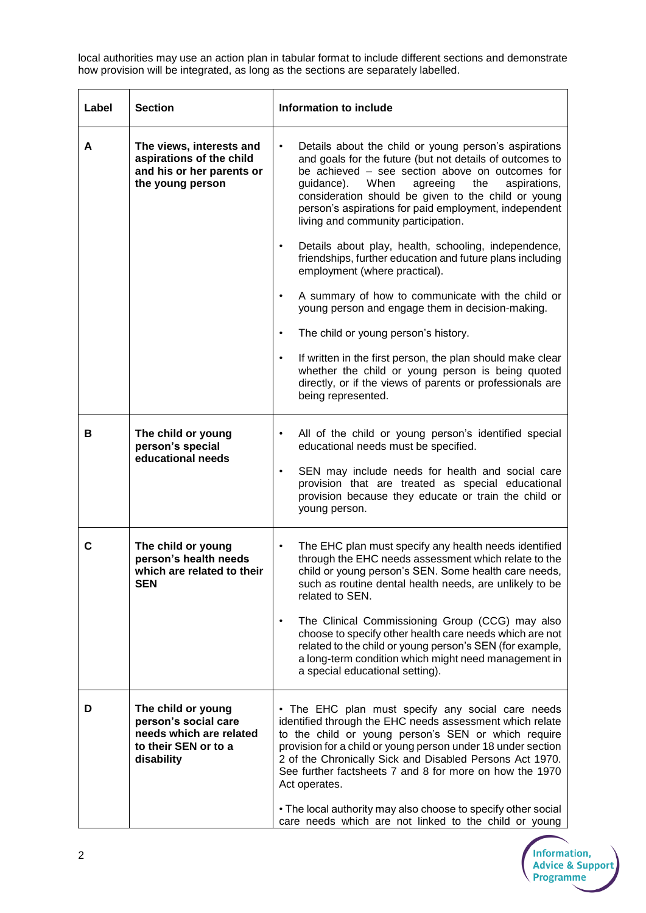local authorities may use an action plan in tabular format to include different sections and demonstrate how provision will be integrated, as long as the sections are separately labelled.

| Label | <b>Section</b>                                                                                              | Information to include                                                                                                                                                                                                                                                                                                                                                                                                                        |
|-------|-------------------------------------------------------------------------------------------------------------|-----------------------------------------------------------------------------------------------------------------------------------------------------------------------------------------------------------------------------------------------------------------------------------------------------------------------------------------------------------------------------------------------------------------------------------------------|
| A     | The views, interests and<br>aspirations of the child<br>and his or her parents or<br>the young person       | Details about the child or young person's aspirations<br>$\bullet$<br>and goals for the future (but not details of outcomes to<br>be achieved - see section above on outcomes for<br>guidance).<br>When<br>agreeing<br>the<br>aspirations,<br>consideration should be given to the child or young<br>person's aspirations for paid employment, independent<br>living and community participation.                                             |
|       |                                                                                                             | Details about play, health, schooling, independence,<br>friendships, further education and future plans including<br>employment (where practical).                                                                                                                                                                                                                                                                                            |
|       |                                                                                                             | A summary of how to communicate with the child or<br>young person and engage them in decision-making.                                                                                                                                                                                                                                                                                                                                         |
|       |                                                                                                             | The child or young person's history.<br>٠                                                                                                                                                                                                                                                                                                                                                                                                     |
|       |                                                                                                             | If written in the first person, the plan should make clear<br>$\bullet$<br>whether the child or young person is being quoted<br>directly, or if the views of parents or professionals are<br>being represented.                                                                                                                                                                                                                               |
| в     | The child or young<br>person's special<br>educational needs                                                 | All of the child or young person's identified special<br>educational needs must be specified.                                                                                                                                                                                                                                                                                                                                                 |
|       |                                                                                                             | SEN may include needs for health and social care<br>$\bullet$<br>provision that are treated as special educational<br>provision because they educate or train the child or<br>young person.                                                                                                                                                                                                                                                   |
| C     | The child or young<br>person's health needs<br>which are related to their<br><b>SEN</b>                     | The EHC plan must specify any health needs identified<br>through the EHC needs assessment which relate to the<br>child or young person's SEN. Some health care needs,<br>such as routine dental health needs, are unlikely to be<br>related to SEN.<br>The Clinical Commissioning Group (CCG) may also<br>$\bullet$<br>choose to specify other health care needs which are not                                                                |
|       |                                                                                                             | related to the child or young person's SEN (for example,<br>a long-term condition which might need management in<br>a special educational setting).                                                                                                                                                                                                                                                                                           |
| D     | The child or young<br>person's social care<br>needs which are related<br>to their SEN or to a<br>disability | • The EHC plan must specify any social care needs<br>identified through the EHC needs assessment which relate<br>to the child or young person's SEN or which require<br>provision for a child or young person under 18 under section<br>2 of the Chronically Sick and Disabled Persons Act 1970.<br>See further factsheets 7 and 8 for more on how the 1970<br>Act operates.<br>• The local authority may also choose to specify other social |
|       |                                                                                                             | care needs which are not linked to the child or young                                                                                                                                                                                                                                                                                                                                                                                         |

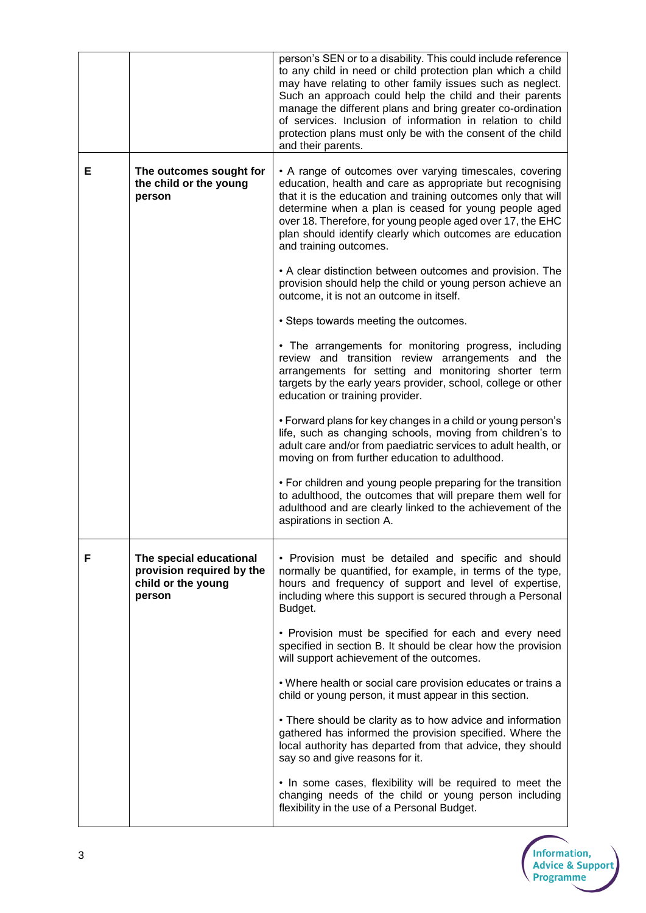|   |                                                                                      | person's SEN or to a disability. This could include reference<br>to any child in need or child protection plan which a child<br>may have relating to other family issues such as neglect.<br>Such an approach could help the child and their parents<br>manage the different plans and bring greater co-ordination<br>of services. Inclusion of information in relation to child<br>protection plans must only be with the consent of the child<br>and their parents. |
|---|--------------------------------------------------------------------------------------|-----------------------------------------------------------------------------------------------------------------------------------------------------------------------------------------------------------------------------------------------------------------------------------------------------------------------------------------------------------------------------------------------------------------------------------------------------------------------|
| Е | The outcomes sought for<br>the child or the young<br>person                          | • A range of outcomes over varying timescales, covering<br>education, health and care as appropriate but recognising<br>that it is the education and training outcomes only that will<br>determine when a plan is ceased for young people aged<br>over 18. Therefore, for young people aged over 17, the EHC<br>plan should identify clearly which outcomes are education<br>and training outcomes.                                                                   |
|   |                                                                                      | • A clear distinction between outcomes and provision. The<br>provision should help the child or young person achieve an<br>outcome, it is not an outcome in itself.                                                                                                                                                                                                                                                                                                   |
|   |                                                                                      | • Steps towards meeting the outcomes.                                                                                                                                                                                                                                                                                                                                                                                                                                 |
|   |                                                                                      | • The arrangements for monitoring progress, including<br>review and transition review arrangements and the<br>arrangements for setting and monitoring shorter term<br>targets by the early years provider, school, college or other<br>education or training provider.                                                                                                                                                                                                |
|   |                                                                                      | • Forward plans for key changes in a child or young person's<br>life, such as changing schools, moving from children's to<br>adult care and/or from paediatric services to adult health, or<br>moving on from further education to adulthood.                                                                                                                                                                                                                         |
|   |                                                                                      | • For children and young people preparing for the transition<br>to adulthood, the outcomes that will prepare them well for<br>adulthood and are clearly linked to the achievement of the<br>aspirations in section A.                                                                                                                                                                                                                                                 |
| F | The special educational<br>provision required by the<br>child or the young<br>person | • Provision must be detailed and specific and should<br>normally be quantified, for example, in terms of the type,<br>hours and frequency of support and level of expertise,<br>including where this support is secured through a Personal<br>Budget.                                                                                                                                                                                                                 |
|   |                                                                                      | • Provision must be specified for each and every need<br>specified in section B. It should be clear how the provision<br>will support achievement of the outcomes.                                                                                                                                                                                                                                                                                                    |
|   |                                                                                      | . Where health or social care provision educates or trains a<br>child or young person, it must appear in this section.                                                                                                                                                                                                                                                                                                                                                |
|   |                                                                                      | • There should be clarity as to how advice and information<br>gathered has informed the provision specified. Where the<br>local authority has departed from that advice, they should<br>say so and give reasons for it.                                                                                                                                                                                                                                               |
|   |                                                                                      | . In some cases, flexibility will be required to meet the<br>changing needs of the child or young person including<br>flexibility in the use of a Personal Budget.                                                                                                                                                                                                                                                                                                    |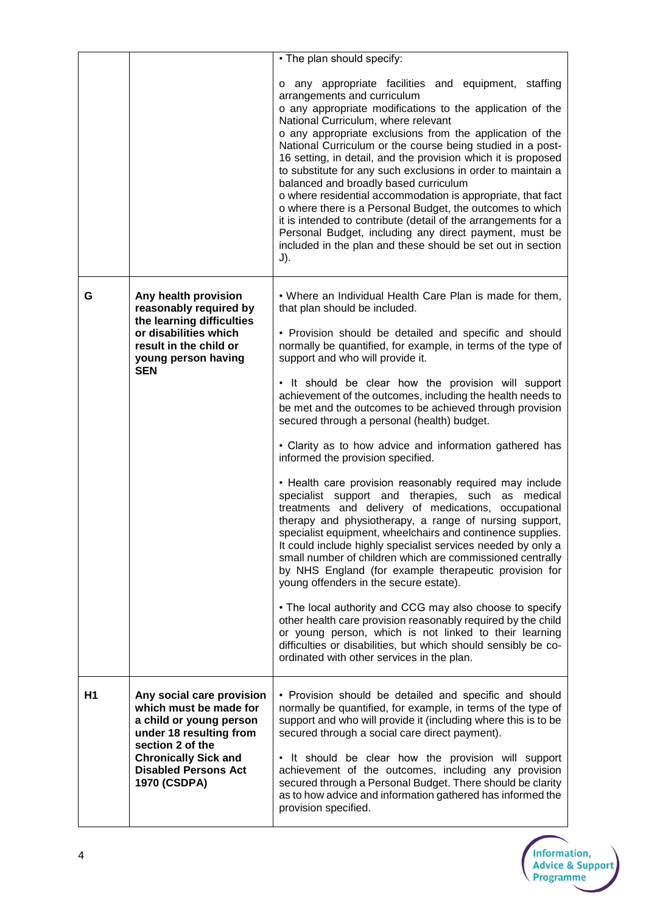|                |                                                                                                                                                                                                             | • The plan should specify:                                                                                                                                                                                                                                                                                                                                                                                                                                                                                                                                                                                                                                                                                                                                                                                                                                                                                                                                                                                                                                                                                                                                                                                                                                                                                                                                                                                                    |
|----------------|-------------------------------------------------------------------------------------------------------------------------------------------------------------------------------------------------------------|-------------------------------------------------------------------------------------------------------------------------------------------------------------------------------------------------------------------------------------------------------------------------------------------------------------------------------------------------------------------------------------------------------------------------------------------------------------------------------------------------------------------------------------------------------------------------------------------------------------------------------------------------------------------------------------------------------------------------------------------------------------------------------------------------------------------------------------------------------------------------------------------------------------------------------------------------------------------------------------------------------------------------------------------------------------------------------------------------------------------------------------------------------------------------------------------------------------------------------------------------------------------------------------------------------------------------------------------------------------------------------------------------------------------------------|
|                |                                                                                                                                                                                                             | any appropriate facilities and equipment, staffing<br>o<br>arrangements and curriculum<br>o any appropriate modifications to the application of the<br>National Curriculum, where relevant<br>o any appropriate exclusions from the application of the<br>National Curriculum or the course being studied in a post-<br>16 setting, in detail, and the provision which it is proposed<br>to substitute for any such exclusions in order to maintain a<br>balanced and broadly based curriculum<br>o where residential accommodation is appropriate, that fact<br>o where there is a Personal Budget, the outcomes to which<br>it is intended to contribute (detail of the arrangements for a<br>Personal Budget, including any direct payment, must be<br>included in the plan and these should be set out in section<br>J).                                                                                                                                                                                                                                                                                                                                                                                                                                                                                                                                                                                                  |
| G              | Any health provision<br>reasonably required by<br>the learning difficulties<br>or disabilities which<br>result in the child or<br>young person having<br><b>SEN</b>                                         | • Where an Individual Health Care Plan is made for them,<br>that plan should be included.<br>• Provision should be detailed and specific and should<br>normally be quantified, for example, in terms of the type of<br>support and who will provide it.<br>• It should be clear how the provision will support<br>achievement of the outcomes, including the health needs to<br>be met and the outcomes to be achieved through provision<br>secured through a personal (health) budget.<br>• Clarity as to how advice and information gathered has<br>informed the provision specified.<br>• Health care provision reasonably required may include<br>specialist support and therapies, such as medical<br>treatments and delivery of medications, occupational<br>therapy and physiotherapy, a range of nursing support,<br>specialist equipment, wheelchairs and continence supplies.<br>It could include highly specialist services needed by only a<br>small number of children which are commissioned centrally<br>by NHS England (for example therapeutic provision for<br>young offenders in the secure estate).<br>• The local authority and CCG may also choose to specify<br>other health care provision reasonably required by the child<br>or young person, which is not linked to their learning<br>difficulties or disabilities, but which should sensibly be co-<br>ordinated with other services in the plan. |
| H <sub>1</sub> | Any social care provision<br>which must be made for<br>a child or young person<br>under 18 resulting from<br>section 2 of the<br><b>Chronically Sick and</b><br><b>Disabled Persons Act</b><br>1970 (CSDPA) | • Provision should be detailed and specific and should<br>normally be quantified, for example, in terms of the type of<br>support and who will provide it (including where this is to be<br>secured through a social care direct payment).<br>• It should be clear how the provision will support<br>achievement of the outcomes, including any provision<br>secured through a Personal Budget. There should be clarity<br>as to how advice and information gathered has informed the<br>provision specified.                                                                                                                                                                                                                                                                                                                                                                                                                                                                                                                                                                                                                                                                                                                                                                                                                                                                                                                 |

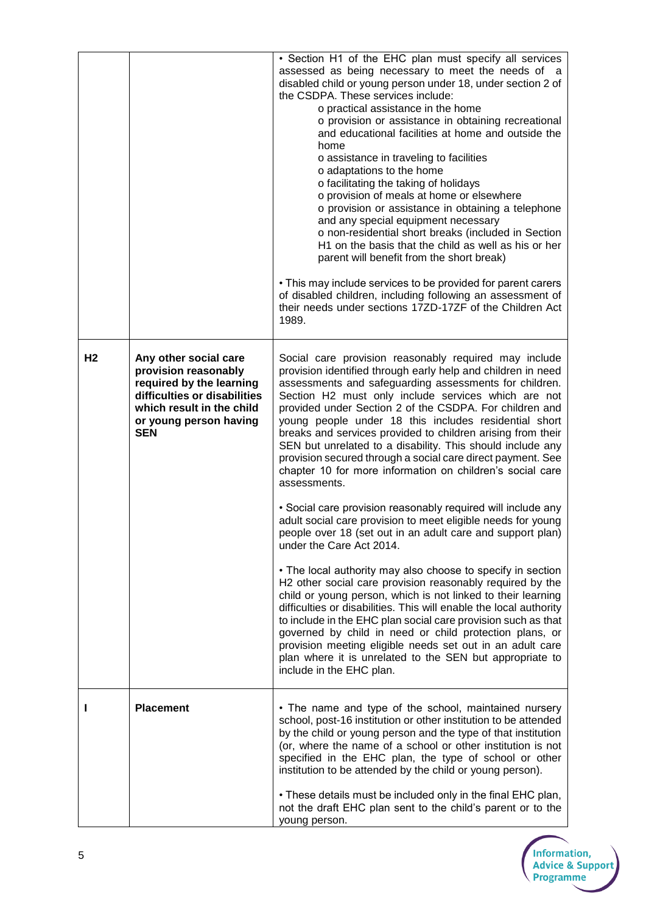|    |                                                                                                                                                                                | • Section H1 of the EHC plan must specify all services<br>assessed as being necessary to meet the needs of a<br>disabled child or young person under 18, under section 2 of<br>the CSDPA. These services include:<br>o practical assistance in the home<br>o provision or assistance in obtaining recreational<br>and educational facilities at home and outside the<br>home<br>o assistance in traveling to facilities<br>o adaptations to the home<br>o facilitating the taking of holidays<br>o provision of meals at home or elsewhere<br>o provision or assistance in obtaining a telephone<br>and any special equipment necessary<br>o non-residential short breaks (included in Section<br>H1 on the basis that the child as well as his or her<br>parent will benefit from the short break)<br>• This may include services to be provided for parent carers<br>of disabled children, including following an assessment of<br>their needs under sections 17ZD-17ZF of the Children Act<br>1989. |
|----|--------------------------------------------------------------------------------------------------------------------------------------------------------------------------------|--------------------------------------------------------------------------------------------------------------------------------------------------------------------------------------------------------------------------------------------------------------------------------------------------------------------------------------------------------------------------------------------------------------------------------------------------------------------------------------------------------------------------------------------------------------------------------------------------------------------------------------------------------------------------------------------------------------------------------------------------------------------------------------------------------------------------------------------------------------------------------------------------------------------------------------------------------------------------------------------------------|
| H2 | Any other social care<br>provision reasonably<br>required by the learning<br>difficulties or disabilities<br>which result in the child<br>or young person having<br><b>SEN</b> | Social care provision reasonably required may include<br>provision identified through early help and children in need<br>assessments and safeguarding assessments for children.<br>Section H2 must only include services which are not<br>provided under Section 2 of the CSDPA. For children and<br>young people under 18 this includes residential short<br>breaks and services provided to children arising from their<br>SEN but unrelated to a disability. This should include any<br>provision secured through a social care direct payment. See<br>chapter 10 for more information on children's social care<br>assessments.<br>• Social care provision reasonably required will include any                                                                                                                                                                                                                                                                                                    |
|    |                                                                                                                                                                                | adult social care provision to meet eligible needs for young<br>people over 18 (set out in an adult care and support plan)<br>under the Care Act 2014.<br>• The local authority may also choose to specify in section<br>H2 other social care provision reasonably required by the<br>child or young person, which is not linked to their learning<br>difficulties or disabilities. This will enable the local authority<br>to include in the EHC plan social care provision such as that<br>governed by child in need or child protection plans, or<br>provision meeting eligible needs set out in an adult care<br>plan where it is unrelated to the SEN but appropriate to<br>include in the EHC plan.                                                                                                                                                                                                                                                                                              |
|    | <b>Placement</b>                                                                                                                                                               | • The name and type of the school, maintained nursery<br>school, post-16 institution or other institution to be attended<br>by the child or young person and the type of that institution<br>(or, where the name of a school or other institution is not<br>specified in the EHC plan, the type of school or other<br>institution to be attended by the child or young person).<br>• These details must be included only in the final EHC plan,<br>not the draft EHC plan sent to the child's parent or to the<br>young person.                                                                                                                                                                                                                                                                                                                                                                                                                                                                        |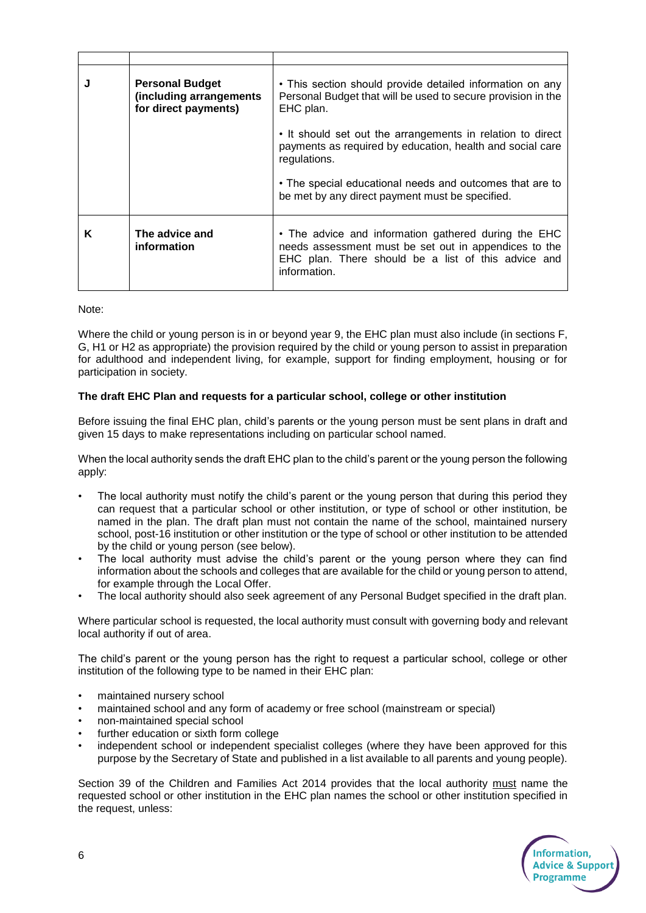|   | <b>Personal Budget</b><br>(including arrangements<br>for direct payments) | • This section should provide detailed information on any<br>Personal Budget that will be used to secure provision in the<br>EHC plan.                                               |
|---|---------------------------------------------------------------------------|--------------------------------------------------------------------------------------------------------------------------------------------------------------------------------------|
|   |                                                                           | • It should set out the arrangements in relation to direct<br>payments as required by education, health and social care<br>regulations.                                              |
|   |                                                                           | • The special educational needs and outcomes that are to<br>be met by any direct payment must be specified.                                                                          |
| Κ | The advice and<br>information                                             | • The advice and information gathered during the EHC<br>needs assessment must be set out in appendices to the<br>EHC plan. There should be a list of this advice and<br>information. |

Note:

Where the child or young person is in or beyond year 9, the EHC plan must also include (in sections F, G, H1 or H2 as appropriate) the provision required by the child or young person to assist in preparation for adulthood and independent living, for example, support for finding employment, housing or for participation in society.

## **The draft EHC Plan and requests for a particular school, college or other institution**

Before issuing the final EHC plan, child's parents or the young person must be sent plans in draft and given 15 days to make representations including on particular school named.

When the local authority sends the draft EHC plan to the child's parent or the young person the following apply:

- The local authority must notify the child's parent or the young person that during this period they can request that a particular school or other institution, or type of school or other institution, be named in the plan. The draft plan must not contain the name of the school, maintained nursery school, post-16 institution or other institution or the type of school or other institution to be attended by the child or young person (see below).
- The local authority must advise the child's parent or the young person where they can find information about the schools and colleges that are available for the child or young person to attend, for example through the Local Offer.
- The local authority should also seek agreement of any Personal Budget specified in the draft plan.

Where particular school is requested, the local authority must consult with governing body and relevant local authority if out of area.

The child's parent or the young person has the right to request a particular school, college or other institution of the following type to be named in their EHC plan:

- maintained nursery school
- maintained school and any form of academy or free school (mainstream or special)
- non-maintained special school
- further education or sixth form college
- independent school or independent specialist colleges (where they have been approved for this purpose by the Secretary of State and published in a list available to all parents and young people).

Section 39 of the Children and Families Act 2014 provides that the local authority must name the requested school or other institution in the EHC plan names the school or other institution specified in the request, unless: